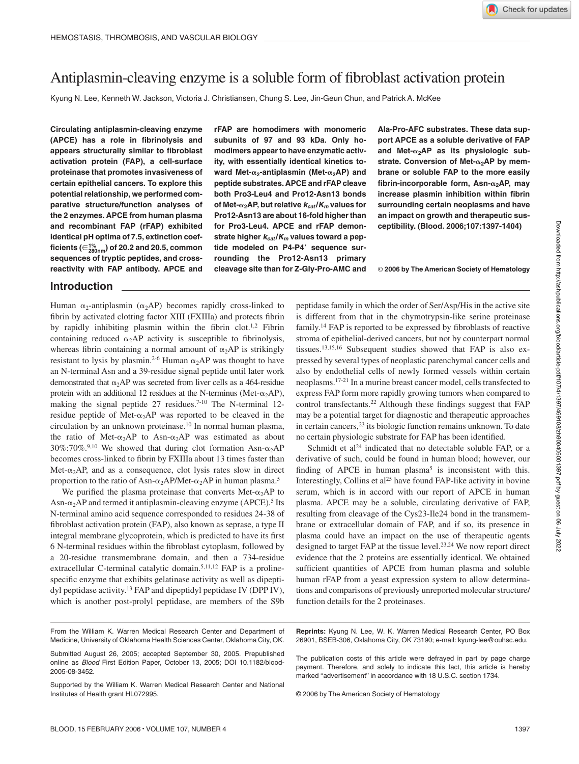# Antiplasmin-cleaving enzyme is a soluble form of fibroblast activation protein

Kyung N. Lee, Kenneth W. Jackson, Victoria J. Christiansen, Chung S. Lee, Jin-Geun Chun, and Patrick A. McKee

**Circulating antiplasmin-cleaving enzyme (APCE) has a role in fibrinolysis and appears structurally similar to fibroblast activation protein (FAP), a cell-surface proteinase that promotes invasiveness of certain epithelial cancers. To explore this potential relationship, we performed comparative structure/function analyses of the 2 enzymes. APCE from human plasma and recombinant FAP (rFAP) exhibited identical pH optima of 7.5, extinction coefficients (280nm 1% ) of 20.2 and 20.5, common sequences of tryptic peptides, and crossreactivity with FAP antibody. APCE and**

# **rFAP are homodimers with monomeric subunits of 97 and 93 kDa. Only homodimers appear to have enzymatic activity, with essentially identical kinetics toward Met-**α<sub>2</sub>-antiplasmin (Met-α<sub>2</sub>AP) and **peptide substrates. APCE and rFAP cleave both Pro3-Leu4 and Pro12-Asn13 bonds of Met-**α<sub>2</sub>AP, but relative  $k_{cat}/K_m$  values for **Pro12-Asn13 are about 16-fold higher than for Pro3-Leu4. APCE and rFAP demonstrate higher** *kcat* **/***Km* **values toward a peptide modeled on P4-P4 sequence surrounding the Pro12-Asn13 primary cleavage site than for Z-Gly-Pro-AMC and**

**Ala-Pro-AFC substrates. These data support APCE as a soluble derivative of FAP** and Met-α<sub>2</sub>AP as its physiologic substrate. Conversion of Met-α<sub>2</sub>AP by mem**brane or soluble FAP to the more easily fibrin-incorporable form, Asn-** $α_2$ **AP, may increase plasmin inhibition within fibrin surrounding certain neoplasms and have an impact on growth and therapeutic susceptibility. (Blood. 2006;107:1397-1404)**

© **2006 by The American Society of Hematology**

## **Introduction**

Human  $\alpha_2$ -antiplasmin ( $\alpha_2AP$ ) becomes rapidly cross-linked to fibrin by activated clotting factor XIII (FXIIIa) and protects fibrin by rapidly inhibiting plasmin within the fibrin clot.<sup>1,2</sup> Fibrin containing reduced  $\alpha_2 AP$  activity is susceptible to fibrinolysis, whereas fibrin containing a normal amount of  $\alpha_2AP$  is strikingly resistant to lysis by plasmin.<sup>2-6</sup> Human  $\alpha_2$ AP was thought to have an N-terminal Asn and a 39-residue signal peptide until later work demonstrated that  $\alpha_2$ AP was secreted from liver cells as a 464-residue protein with an additional 12 residues at the N-terminus (Met- $\alpha_2$ AP), making the signal peptide  $27$  residues.<sup>7-10</sup> The N-terminal 12residue peptide of Met- $\alpha_2$ AP was reported to be cleaved in the circulation by an unknown proteinase.10 In normal human plasma, the ratio of Met- $\alpha_2$ AP to Asn- $\alpha_2$ AP was estimated as about  $30\%$ :70%.<sup>9,10</sup> We showed that during clot formation Asn- $\alpha_2$ AP becomes cross-linked to fibrin by FXIIIa about 13 times faster than Met- $\alpha_2$ AP, and as a consequence, clot lysis rates slow in direct proportion to the ratio of Asn- $\alpha_2$ AP/Met- $\alpha_2$ AP in human plasma.<sup>5</sup>

We purified the plasma proteinase that converts Met- $\alpha_2$ AP to Asn- $\alpha_2$ AP and termed it antiplasmin-cleaving enzyme (APCE).<sup>5</sup> Its N-terminal amino acid sequence corresponded to residues 24-38 of fibroblast activation protein (FAP), also known as seprase, a type II integral membrane glycoprotein, which is predicted to have its first 6 N-terminal residues within the fibroblast cytoplasm, followed by a 20-residue transmembrane domain, and then a 734-residue extracellular C-terminal catalytic domain.<sup>5,11,12</sup> FAP is a prolinespecific enzyme that exhibits gelatinase activity as well as dipeptidyl peptidase activity.13 FAP and dipeptidyl peptidase IV (DPP IV), which is another post-prolyl peptidase, are members of the S9b peptidase family in which the order of Ser/Asp/His in the active site is different from that in the chymotrypsin-like serine proteinase family.14 FAP is reported to be expressed by fibroblasts of reactive stroma of epithelial-derived cancers, but not by counterpart normal tissues.13,15,16 Subsequent studies showed that FAP is also expressed by several types of neoplastic parenchymal cancer cells and also by endothelial cells of newly formed vessels within certain neoplasms.17-21 In a murine breast cancer model, cells transfected to express FAP form more rapidly growing tumors when compared to control transfectants.22 Although these findings suggest that FAP may be a potential target for diagnostic and therapeutic approaches in certain cancers,<sup>23</sup> its biologic function remains unknown. To date no certain physiologic substrate for FAP has been identified.

Schmidt et al<sup>24</sup> indicated that no detectable soluble FAP, or a derivative of such, could be found in human blood; however, our finding of APCE in human plasma<sup>5</sup> is inconsistent with this. Interestingly, Collins et al<sup>25</sup> have found FAP-like activity in bovine serum, which is in accord with our report of APCE in human plasma. APCE may be a soluble, circulating derivative of FAP, resulting from cleavage of the Cys23-Ile24 bond in the transmembrane or extracellular domain of FAP, and if so, its presence in plasma could have an impact on the use of therapeutic agents designed to target FAP at the tissue level.23,24 We now report direct evidence that the 2 proteins are essentially identical. We obtained sufficient quantities of APCE from human plasma and soluble human rFAP from a yeast expression system to allow determinations and comparisons of previously unreported molecular structure/ function details for the 2 proteinases.

**Reprints:** Kyung N. Lee, W. K. Warren Medical Research Center, PO Box 26901, BSEB-306, Oklahoma City, OK 73190; e-mail: kyung-lee@ouhsc.edu.

The publication costs of this article were defrayed in part by page charge payment. Therefore, and solely to indicate this fact, this article is hereby marked "advertisement" in accordance with 18 U.S.C. section 1734.

© 2006 by The American Society of Hematology

From the William K. Warren Medical Research Center and Department of Medicine, University of Oklahoma Health Sciences Center, Oklahoma City, OK.

Submitted August 26, 2005; accepted September 30, 2005. Prepublished online as *Blood* First Edition Paper, October 13, 2005; DOI 10.1182/blood-2005-08-3452.

Supported by the William K. Warren Medical Research Center and National Institutes of Health grant HL072995.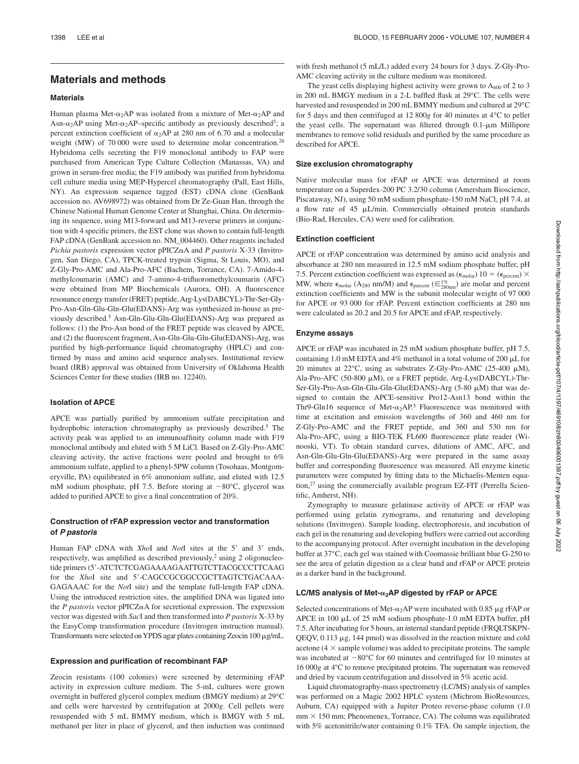# **Materials and methods**

## **Materials**

Human plasma Met- $\alpha_2$ AP was isolated from a mixture of Met- $\alpha_2$ AP and Asn- $\alpha_2$ AP using Met- $\alpha_2$ AP–specific antibody as previously described<sup>5</sup>; a percent extinction coefficient of  $\alpha_2$ AP at 280 nm of 6.70 and a molecular weight (MW) of 70 000 were used to determine molar concentration.26 Hybridoma cells secreting the F19 monoclonal antibody to FAP were purchased from American Type Culture Collection (Manassas, VA) and grown in serum-free media; the F19 antibody was purified from hybridoma cell culture media using MEP-Hypercel chromatography (Pall, East Hills, NY). An expression sequence tagged (EST) cDNA clone (GenBank accession no. AV698972) was obtained from Dr Ze-Guan Han, through the Chinese National Human Genome Center at Shanghai, China. On determining its sequence, using M13-forward and M13-reverse primers in conjunction with 4 specific primers, the EST clone was shown to contain full-length FAP cDNA (GenBank accession no. NM\_004460). Other reagents included *Pichia pastoris* expression vector  $pPICZ\alpha A$  and *P pastoris* X-33 (Invitrogen, San Diego, CA), TPCK-treated trypsin (Sigma, St Louis, MO), and Z-Gly-Pro-AMC and Ala-Pro-AFC (Bachem, Torrance, CA). 7-Amido-4 methylcoumarin (AMC) and 7-amino-4-trifluoromethylcoumarin (AFC) were obtained from MP Biochemicals (Aurora, OH). A fluorescence resonance energy transfer (FRET) peptide, Arg-Lys(DABCYL)-Thr-Ser-Gly-Pro-Asn-Gln-Glu-Gln-Glu(EDANS)-Arg was synthesized in-house as previously described.5 Asn-Gln-Glu-Gln-Glu(EDANS)-Arg was prepared as follows: (1) the Pro-Asn bond of the FRET peptide was cleaved by APCE, and (2) the fluorescent fragment, Asn-Gln-Glu-Gln-Glu(EDANS)-Arg, was purified by high-performance liquid chromatography (HPLC) and confirmed by mass and amino acid sequence analyses. Institutional review board (IRB) approval was obtained from University of Oklahoma Health Sciences Center for these studies (IRB no. 12240).

## **Isolation of APCE**

APCE was partially purified by ammonium sulfate precipitation and hydrophobic interaction chromatography as previously described.<sup>5</sup> The activity peak was applied to an immunoaffinity column made with F19 monoclonal antibody and eluted with 5 M LiCl. Based on Z-Gly-Pro-AMC cleaving activity, the active fractions were pooled and brought to 6% ammonium sulfate, applied to a phenyl-5PW column (Tosohaas, Montgomeryville, PA) equilibrated in 6% ammonium sulfate, and eluted with 12.5 mM sodium phosphate, pH 7.5. Before storing at  $-80^{\circ}$ C, glycerol was added to purified APCE to give a final concentration of 20%.

### **Construction of rFAP expression vector and transformation of** *P pastoris*

Human FAP cDNA with *XhoI* and *NotI* sites at the 5' and 3' ends, respectively, was amplified as described previously,<sup>2</sup> using 2 oligonucleotide primers (5-ATCTCTCGAGAAAAGAATTGTCTTACGCCCTTCAAG for the *XhoI* site and 5'-CAGCCGGGGCCGCTTAGTCTGACAAA-GAGAAAC for the *Not*I site) and the template full-length FAP cDNA. Using the introduced restriction sites, the amplified DNA was ligated into the  $P$  pastoris vector pPICZ $\alpha$ A for secretional expression. The expression vector was digested with *Sac*I and then transformed into *P pastoris* X-33 by the EasyComp transformation procedure (Invitrogen instruction manual). Transformants were selected on YPDS agar plates containing Zeocin 100 µg/mL.

#### **Expression and purification of recombinant FAP**

Zeocin resistants (100 colonies) were screened by determining rFAP activity in expression culture medium. The 5-mL cultures were grown overnight in buffered glycerol complex medium (BMGY medium) at 29°C and cells were harvested by centrifugation at 2000*g*. Cell pellets were resuspended with 5 mL BMMY medium, which is BMGY with 5 mL methanol per liter in place of glycerol, and then induction was continued

with fresh methanol (5 mL/L) added every 24 hours for 3 days. Z-Gly-Pro-AMC cleaving activity in the culture medium was monitored.

The yeast cells displaying highest activity were grown to  $A_{600}$  of 2 to 3 in 200 mL BMGY medium in a 2-L baffled flask at 29°C. The cells were harvested and resuspended in 200 mL BMMY medium and cultured at 29°C for 5 days and then centrifuged at 12 800*g* for 40 minutes at 4°C to pellet the yeast cells. The supernatant was filtered through  $0.1$ - $\mu$ m Millipore membranes to remove solid residuals and purified by the same procedure as described for APCE.

#### **Size exclusion chromatography**

Native molecular mass for rFAP or APCE was determined at room temperature on a Superdex-200 PC 3.2/30 column (Amersham Bioscience, Piscataway, NJ), using 50 mM sodium phosphate-150 mM NaCl, pH 7.4, at a flow rate of  $45 \mu L/min$ . Commercially obtained protein standards (Bio-Rad, Hercules, CA) were used for calibration.

## **Extinction coefficient**

APCE or rFAP concentration was determined by amino acid analysis and absorbance at 280 nm measured in 12.5 mM sodium phosphate buffer, pH 7.5. Percent extinction coefficient was expressed as  $(\epsilon_{\text{molar}}) 10 = (\epsilon_{\text{percent}}) \times$ MW, where  $\epsilon_{\text{molar}}$  (A<sub>280</sub> nm/M) and  $\epsilon_{\text{percent}}$  ( $\epsilon_{\text{280nm}}^{1\%}$ ) are molar and percent extinction coefficients and MW is the subunit molecular weight of 97 000 for APCE or 93 000 for rFAP. Percent extinction coefficients at 280 nm were calculated as 20.2 and 20.5 for APCE and rFAP, respectively.

#### **Enzyme assays**

APCE or rFAP was incubated in 25 mM sodium phosphate buffer, pH 7.5, containing 1.0 mM EDTA and 4% methanol in a total volume of 200  $\mu$ L for 20 minutes at  $22^{\circ}$ C, using as substrates Z-Gly-Pro-AMC (25-400  $\mu$ M), Ala-Pro-AFC (50-800 μM), or a FRET peptide, Arg-Lys(DABCYL)-Thr-Ser-Gly-Pro-Asn-Gln-Glu-Gln-Glu(EDANS)-Arg (5-80 µM) that was designed to contain the APCE-sensitive Pro12-Asn13 bond within the Thr9-Gln16 sequence of Met- $\alpha_2$ AP.<sup>5</sup> Fluorescence was monitored with time at excitation and emission wavelengths of 360 and 460 nm for Z-Gly-Pro-AMC and the FRET peptide, and 360 and 530 nm for Ala-Pro-AFC, using a BIO-TEK FL600 fluorescence plate reader (Winooski, VT). To obtain standard curves, dilutions of AMC, AFC, and Asn-Gln-Glu-Gln-Glu(EDANS)-Arg were prepared in the same assay buffer and corresponding fluorescence was measured. All enzyme kinetic parameters were computed by fitting data to the Michaelis-Menten equation,<sup>27</sup> using the commercially available program EZ-FIT (Perrella Scientific, Amherst, NH).

Zymography to measure gelatinase activity of APCE or rFAP was performed using gelatin zymograms, and renaturing and developing solutions (Invitrogen). Sample loading, electrophoresis, and incubation of each gel in the renaturing and developing buffers were carried out according to the accompanying protocol. After overnight incubation in the developing buffer at 37°C, each gel was stained with Coomassie brilliant blue G-250 to see the area of gelatin digestion as a clear band and rFAP or APCE protein as a darker band in the background.

#### LC/MS analysis of Met-α<sub>2</sub>AP digested by rFAP or APCE

Selected concentrations of Met- $\alpha_2$ AP were incubated with 0.85  $\mu$ g rFAP or APCE in 100  $\mu$ L of 25 mM sodium phosphate-1.0 mM EDTA buffer, pH 7.5. After incubating for 5 hours, an internal standard peptide (FRQLTSKPN-QEQV,  $0.113 \mu$ g, 144 pmol) was dissolved in the reaction mixture and cold acetone ( $4 \times$  sample volume) was added to precipitate proteins. The sample was incubated at  $-80^{\circ}$ C for 60 minutes and centrifuged for 10 minutes at 16 000*g* at 4°C to remove precipitated proteins. The supernatant was removed and dried by vacuum centrifugation and dissolved in 5% acetic acid.

Liquid chromatography-mass spectrometry (LC/MS) analysis of samples was performed on a Magic 2002 HPLC system (Michrom BioResources, Auburn, CA) equipped with a Jupiter Proteo reverse-phase column (1.0  $mm \times 150$  mm; Phenomenex, Torrance, CA). The column was equilibrated with 5% acetonitrile/water containing 0.1% TFA. On sample injection, the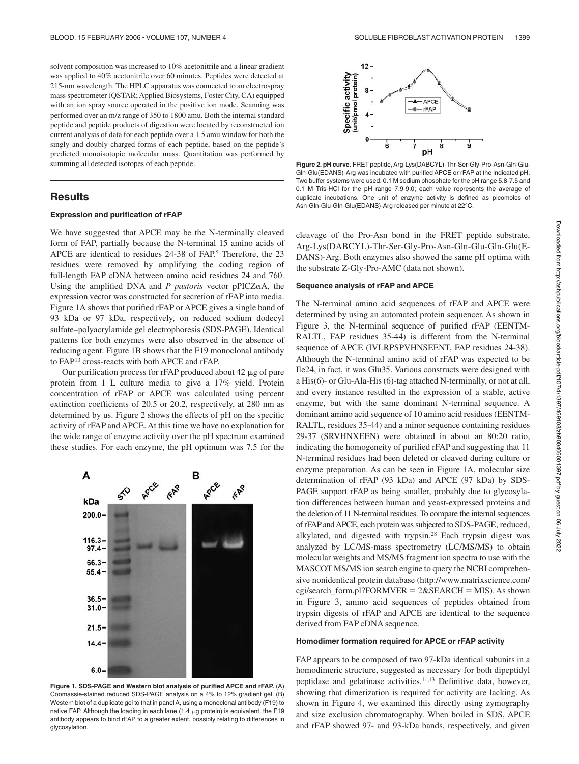solvent composition was increased to 10% acetonitrile and a linear gradient was applied to 40% acetonitrile over 60 minutes. Peptides were detected at 215-nm wavelength. The HPLC apparatus was connected to an electrospray mass spectrometer (QSTAR; Applied Biosystems, Foster City, CA) equipped with an ion spray source operated in the positive ion mode. Scanning was performed over an m/z range of 350 to 1800 amu. Both the internal standard peptide and peptide products of digestion were located by reconstructed ion current analysis of data for each peptide over a 1.5 amu window for both the singly and doubly charged forms of each peptide, based on the peptide's predicted monoisotopic molecular mass. Quantitation was performed by summing all detected isotopes of each peptide.

## **Results**

## **Expression and purification of rFAP**

We have suggested that APCE may be the N-terminally cleaved form of FAP, partially because the N-terminal 15 amino acids of APCE are identical to residues 24-38 of FAP.<sup>5</sup> Therefore, the 23 residues were removed by amplifying the coding region of full-length FAP cDNA between amino acid residues 24 and 760. Using the amplified DNA and  $P$  *pastoris* vector  $pPICZ<sub>\alpha</sub>A$ , the expression vector was constructed for secretion of rFAP into media. Figure 1A shows that purified rFAP or APCE gives a single band of 93 kDa or 97 kDa, respectively, on reduced sodium dodecyl sulfate–polyacrylamide gel electrophoresis (SDS-PAGE). Identical patterns for both enzymes were also observed in the absence of reducing agent. Figure 1B shows that the F19 monoclonal antibody to FAP13 cross-reacts with both APCE and rFAP.

Our purification process for rFAP produced about 42  $\mu$ g of pure protein from 1 L culture media to give a 17% yield. Protein concentration of rFAP or APCE was calculated using percent extinction coefficients of 20.5 or 20.2, respectively, at 280 nm as determined by us. Figure 2 shows the effects of pH on the specific activity of rFAP and APCE. At this time we have no explanation for the wide range of enzyme activity over the pH spectrum examined these studies. For each enzyme, the pH optimum was 7.5 for the



**Figure 1. SDS-PAGE and Western blot analysis of purified APCE and rFAP.** (A) Coomassie-stained reduced SDS-PAGE analysis on a 4% to 12% gradient gel. (B) Western blot of a duplicate gel to that in panel A, using a monoclonal antibody (F19) to native FAP. Although the loading in each lane (1.4  $\mu$ g protein) is equivalent, the F19 antibody appears to bind rFAP to a greater extent, possibly relating to differences in glycosylation.



**Figure 2. pH curve.** FRET peptide, Arg-Lys(DABCYL)-Thr-Ser-Gly-Pro-Asn-Gln-Glu-Gln-Glu(EDANS)-Arg was incubated with purified APCE or rFAP at the indicated pH. Two buffer systems were used: 0.1 M sodium phosphate for the pH range 5.8-7.5 and 0.1 M Tris-HCl for the pH range 7.9-9.0; each value represents the average of duplicate incubations. One unit of enzyme activity is defined as picomoles of Asn-Gln-Glu-Gln-Glu(EDANS)-Arg released per minute at 22°C.

cleavage of the Pro-Asn bond in the FRET peptide substrate, Arg-Lys(DABCYL)-Thr-Ser-Gly-Pro-Asn-Gln-Glu-Gln-Glu(E-DANS)-Arg. Both enzymes also showed the same pH optima with the substrate Z-Gly-Pro-AMC (data not shown).

#### **Sequence analysis of rFAP and APCE**

The N-terminal amino acid sequences of rFAP and APCE were determined by using an automated protein sequencer. As shown in Figure 3, the N-terminal sequence of purified rFAP (EENTM-RALTL, FAP residues 35-44) is different from the N-terminal sequence of APCE (IVLRPSPVHNSEENT, FAP residues 24-38). Although the N-terminal amino acid of rFAP was expected to be Ile24, in fact, it was Glu35. Various constructs were designed with a His(6)- or Glu-Ala-His (6)-tag attached N-terminally, or not at all, and every instance resulted in the expression of a stable, active enzyme, but with the same dominant N-terminal sequence. A dominant amino acid sequence of 10 amino acid residues (EENTM-RALTL, residues 35-44) and a minor sequence containing residues 29-37 (SRVHNXEEN) were obtained in about an 80:20 ratio, indicating the homogeneity of purified rFAP and suggesting that 11 N-terminal residues had been deleted or cleaved during culture or enzyme preparation. As can be seen in Figure 1A, molecular size determination of rFAP (93 kDa) and APCE (97 kDa) by SDS-PAGE support rFAP as being smaller, probably due to glycosylation differences between human and yeast-expressed proteins and the deletion of 11 N-terminal residues. To compare the internal sequences of rFAP andAPCE, each protein was subjected to SDS-PAGE, reduced, alkylated, and digested with trypsin.28 Each trypsin digest was analyzed by LC/MS-mass spectrometry (LC/MS/MS) to obtain molecular weights and MS/MS fragment ion spectra to use with the MASCOT MS/MS ion search engine to query the NCBI comprehensive nonidentical protein database (http://www.matrixscience.com/ cgi/search\_form.pl?FORMVER =  $2&SEARCH = MIS$ ). As shown in Figure 3, amino acid sequences of peptides obtained from trypsin digests of rFAP and APCE are identical to the sequence derived from FAP cDNA sequence.

#### **Homodimer formation required for APCE or rFAP activity**

FAP appears to be composed of two 97-kDa identical subunits in a homodimeric structure, suggested as necessary for both dipeptidyl peptidase and gelatinase activities.11,13 Definitive data, however, showing that dimerization is required for activity are lacking. As shown in Figure 4, we examined this directly using zymography and size exclusion chromatography. When boiled in SDS, APCE and rFAP showed 97- and 93-kDa bands, respectively, and given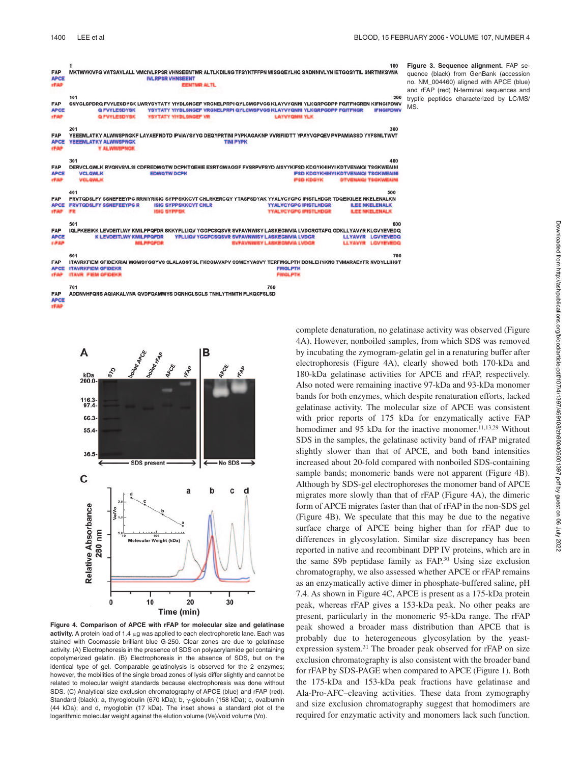100 FAP .<br>MKTWVKIVFG VATSAVLALL VMCIVLRPSR VHNSEENTMR ALTLKDILNG TFSYKTFFPN WISGQEYLHQ SADNNIVLYN IETGQSYTIL SNRTMKSVNA **APCE IVI PPSP VHNSEENT IFA** 101 200 SNYGLSPDRQ FVYLESDYSK LWRYSYTATY YIYDLSNGEF VRGNELPRPI QYLCWSPVGS KLAYVYQNNI YLKQRPGDPP FQITFNGREN KIFNGIPDWV FAP YSYTATY YIYDLSNGEF VRGNELPRPI QYLCWSPVGS KLAYVYQNNI YLKQRPGDPP FQITFNGR **APCE Q FVYLESDYSK IFNGIPDWV O PUVI P** 300 201 FAP YEEEMLATKY ALWWSPNGKF LAYAEFNDTD IPVIAYSYYG DEQYPRTINI PYPKAGAKNP VVRIFIIDTT YPAYVGPQEV PVPAMIASSD YYFSWLTWVT **APCE YEEEMLATKY ALWWSPNGK TINI PYPK** Y ALI 301 DERVCLOWLK RVONVSVLSI CDFREDWOTW DCPKTOEHIE ESRTGWAGGF FVSRPVFSYD AISYYKIFSD KDGYKHIHYI KDTVENAIOI TSGKWEAIN **FAP** 

**IFSD KDGYKHIHYI KDTVENAIQI TSGKWEA APCE VCLQWLK EDWQTWDCPI rFAI** 401 500 FAP FRVTQDSLFY SSNEFEEYPG RRNIYRISIG SYPPSKKCVT CHLRKERCQY YTASFSDYAK YYALVCYGPG IPISTLHDGR TDQEIKILEE NKELENALKN **APCE FRVTODSLFY SSNEFEEYPG R ISIG SYPPSKKCVT CHLR YYALVCYGPG IPISTLHDGR ILEE NKELENALK** FAP IQLPKEEIKK LEVDEITLWY KMILPPQFDR SKKYPLLIQV YGGPCSQSVR SVFAVNWISY LASKEGMVIA LVDGRGTAFQ GDKLLYAVYR KLGVYEVEDQ **APCE K LEVDEITLWY KMILPPQFDR CSQSVR SVFAVNWISY LASKEGMVIA LVDGR LLYAVYR LGVYEVEDG LL YAWYR** LG 601 700 FAP ITAVRKFIEM GFIDEKRIAI WGWSYGGYVS SLALASGTGL FKCGIAVAPV SSWEYYASVY TERFMGLPTK DDNLEHYKNS TVMARAEYFR NVDYLLIHGT

**APCE ITAVRKFIEM GFIDEKR FMGLPTK** 

760

FAP ADDNVHFQNS AQIAKALVNA QVDFQAMWYS DQNHGLSGLS TNHLYTHMTH FLKQCFSLSD **APCB IFI** 

> boltegr App A kDa<br>200.0  $\frac{116.3}{97.4}$ 66.3  $55.4$ 36.5 **SDS** present No SDS  $\mathbf c$ C d  $\overline{a}$ Relative Absorbance 280 nm ecular Weight (kDa)  $\overline{20}$  $\mathbf{0}$  $10$ 30 Time (min)

**Figure 4. Comparison of APCE with rFAP for molecular size and gelatinase**  $activity.$  A protein load of 1.4  $\mu$ g was applied to each electrophoretic lane. Each was stained with Coomassie brilliant blue G-250. Clear zones are due to gelatinase activity. (A) Electrophoresis in the presence of SDS on polyacrylamide gel containing copolymerized gelatin*.* (B) Electrophoresis in the absence of SDS, but on the identical type of gel. Comparable gelatinolysis is observed for the 2 enzymes; however, the mobilities of the single broad zones of lysis differ slightly and cannot be related to molecular weight standards because electrophoresis was done without SDS. (C) Analytical size exclusion chromatography of APCE (blue) and rFAP (red). Standard (black): a, thyroglobulin (670 kDa); b,  $\gamma$ -globulin (158 kDa); c, ovalbumin (44 kDa); and d, myoglobin (17 kDa). The inset shows a standard plot of the logarithmic molecular weight against the elution volume (Ve)/void volume (Vo).

complete denaturation, no gelatinase activity was observed (Figure 4A). However, nonboiled samples, from which SDS was removed by incubating the zymogram-gelatin gel in a renaturing buffer after electrophoresis (Figure 4A), clearly showed both 170-kDa and 180-kDa gelatinase activities for APCE and rFAP, respectively. Also noted were remaining inactive 97-kDa and 93-kDa monomer bands for both enzymes, which despite renaturation efforts, lacked gelatinase activity. The molecular size of APCE was consistent with prior reports of 175 kDa for enzymatically active FAP homodimer and 95 kDa for the inactive monomer.<sup>11,13,29</sup> Without SDS in the samples, the gelatinase activity band of rFAP migrated slightly slower than that of APCE, and both band intensities increased about 20-fold compared with nonboiled SDS-containing sample bands; monomeric bands were not apparent (Figure 4B). Although by SDS-gel electrophoreses the monomer band of APCE migrates more slowly than that of rFAP (Figure 4A), the dimeric form of APCE migrates faster than that of rFAP in the non-SDS gel (Figure 4B). We speculate that this may be due to the negative surface charge of APCE being higher than for rFAP due to differences in glycosylation. Similar size discrepancy has been reported in native and recombinant DPP IV proteins, which are in the same S9b peptidase family as FAP.30 Using size exclusion chromatography, we also assessed whether APCE or rFAP remains as an enzymatically active dimer in phosphate-buffered saline, pH 7.4. As shown in Figure 4C, APCE is present as a 175-kDa protein peak, whereas rFAP gives a 153-kDa peak. No other peaks are present, particularly in the monomeric 95-kDa range. The rFAP peak showed a broader mass distribution than APCE that is probably due to heterogeneous glycosylation by the yeastexpression system.31 The broader peak observed for rFAP on size exclusion chromatography is also consistent with the broader band for rFAP by SDS-PAGE when compared to APCE (Figure 1). Both the 175-kDa and 153-kDa peak fractions have gelatinase and Ala-Pro-AFC–cleaving activities. These data from zymography and size exclusion chromatography suggest that homodimers are required for enzymatic activity and monomers lack such function.

**Figure 3. Sequence alignment.** FAP sequence (black) from GenBank (accession no. NM\_004460) aligned with APCE (blue) and rFAP (red) N-terminal sequences and tryptic peptides characterized by LC/MS/ MS.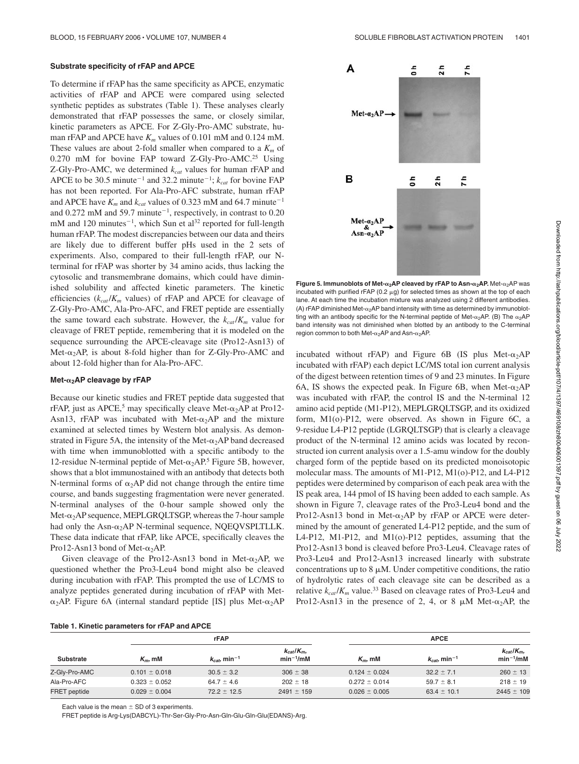#### **Substrate specificity of rFAP and APCE**

To determine if rFAP has the same specificity as APCE, enzymatic activities of rFAP and APCE were compared using selected synthetic peptides as substrates (Table 1). These analyses clearly demonstrated that rFAP possesses the same, or closely similar, kinetic parameters as APCE. For Z-Gly-Pro-AMC substrate, human rFAP and APCE have  $K_m$  values of 0.101 mM and 0.124 mM. These values are about 2-fold smaller when compared to a  $K<sub>m</sub>$  of 0.270 mM for bovine FAP toward Z-Gly-Pro-AMC.<sup>25</sup> Using Z-Gly-Pro-AMC, we determined *kcat* values for human rFAP and APCE to be 30.5 minute<sup>-1</sup> and 32.2 minute<sup>-1</sup>;  $k_{cat}$  for bovine FAP has not been reported. For Ala-Pro-AFC substrate, human rFAP and APCE have  $K_m$  and  $k_{cat}$  values of 0.323 mM and 64.7 minute<sup>-1</sup> and  $0.272 \text{ mM}$  and  $59.7 \text{ minute}^{-1}$ , respectively, in contrast to  $0.20$  $mM$  and 120 minutes<sup>-1</sup>, which Sun et al<sup>32</sup> reported for full-length human rFAP. The modest discrepancies between our data and theirs are likely due to different buffer pHs used in the 2 sets of experiments. Also, compared to their full-length rFAP, our Nterminal for rFAP was shorter by 34 amino acids, thus lacking the cytosolic and transmembrane domains, which could have diminished solubility and affected kinetic parameters. The kinetic efficiencies ( $k_{cat}/K_m$  values) of rFAP and APCE for cleavage of Z-Gly-Pro-AMC, Ala-Pro-AFC, and FRET peptide are essentially the same toward each substrate. However, the  $k_{cat}/K_m$  value for cleavage of FRET peptide, remembering that it is modeled on the sequence surrounding the APCE-cleavage site (Pro12-Asn13) of Met- $\alpha_2$ AP, is about 8-fold higher than for Z-Gly-Pro-AMC and about 12-fold higher than for Ala-Pro-AFC.

### Met-<sub>α2</sub>AP cleavage by rFAP

Because our kinetic studies and FRET peptide data suggested that rFAP, just as APCE,<sup>5</sup> may specifically cleave Met- $\alpha_2$ AP at Pro12-Asn13, rFAP was incubated with Met- $\alpha_2$ AP and the mixture examined at selected times by Western blot analysis. As demonstrated in Figure 5A, the intensity of the Met- $\alpha_2$ AP band decreased with time when immunoblotted with a specific antibody to the 12-residue N-terminal peptide of Met- $\alpha_2$ AP.<sup>5</sup> Figure 5B, however, shows that a blot immunostained with an antibody that detects both N-terminal forms of  $\alpha_2$ AP did not change through the entire time course, and bands suggesting fragmentation were never generated. N-terminal analyses of the 0-hour sample showed only the Met- $\alpha_2$ AP sequence, MEPLGRQLTSGP, whereas the 7-hour sample had only the Asn- $\alpha_2$ AP N-terminal sequence, NQEQVSPLTLLK. These data indicate that rFAP, like APCE, specifically cleaves the Pro12-Asn13 bond of Met- $\alpha_2$ AP.

Given cleavage of the Pro12-Asn13 bond in Met- $\alpha_2$ AP, we questioned whether the Pro3-Leu4 bond might also be cleaved during incubation with rFAP. This prompted the use of LC/MS to analyze peptides generated during incubation of rFAP with Met-  $\alpha_2$ AP. Figure 6A (internal standard peptide [IS] plus Met- $\alpha_2$ AP



| <b>Substrate</b>    | <b>rFAP</b>       |                             |                                | <b>APCE</b>       |                               |                                |
|---------------------|-------------------|-----------------------------|--------------------------------|-------------------|-------------------------------|--------------------------------|
|                     | $K_m$ , mM        | $k_{cat}$ min <sup>-1</sup> | $k_{cat}/K_m$<br>$min^{-1}/mM$ | $K_m$ , mM        | $k_{cat}$ , min <sup>-1</sup> | $k_{cat}/K_m$<br>$min^{-1}/mM$ |
| Z-Gly-Pro-AMC       | $0.101 \pm 0.018$ | $30.5 \pm 3.2$              | $306 \pm 38$                   | $0.124 \pm 0.024$ | $32.2 \pm 7.1$                | $260 \pm 13$                   |
| Ala-Pro-AFC         | $0.323 \pm 0.052$ | $64.7 \pm 4.6$              | $202 \pm 18$                   | $0.272 \pm 0.014$ | $59.7 \pm 8.1$                | $218 \pm 19$                   |
| <b>FRET</b> peptide | $0.029 \pm 0.004$ | $72.2 \pm 12.5$             | $2491 \pm 159$                 | $0.026 \pm 0.005$ | $63.4 \pm 10.1$               | $2445 \pm 109$                 |

Each value is the mean  $\pm$  SD of 3 experiments.

FRET peptide is Arg-Lys(DABCYL)-Thr-Ser-Gly-Pro-Asn-Gln-Glu-Gln-Glu(EDANS)-Arg.



**Figure 5. Immunoblots of Met-α<sub>2</sub>AP cleaved by rFAP to Asn-α<sub>2</sub>AP.** Met-α<sub>2</sub>AP was incubated with purified rFAP (0.2  $\mu$ g) for selected times as shown at the top of each lane. At each time the incubation mixture was analyzed using 2 different antibodies. (A) rFAP diminished Met- $\alpha_2$ AP band intensity with time as determined by immunoblotting with an antibody specific for the N-terminal peptide of Met- $\alpha_2$ AP. (B) The  $\alpha_2$ AP band intensity was not diminished when blotted by an antibody to the C-terminal region common to both Met- $\alpha_2$ AP and Asn- $\alpha_2$ AP.

incubated without rFAP) and Figure 6B (IS plus Met- $\alpha_2$ AP incubated with rFAP) each depict LC/MS total ion current analysis of the digest between retention times of 9 and 23 minutes. In Figure 6A, IS shows the expected peak. In Figure 6B, when Met- $\alpha_2$ AP was incubated with rFAP, the control IS and the N-terminal 12 amino acid peptide (M1-P12), MEPLGRQLTSGP, and its oxidized form, M1(o)-P12, were observed. As shown in Figure 6C, a 9-residue L4-P12 peptide (LGRQLTSGP) that is clearly a cleavage product of the N-terminal 12 amino acids was located by reconstructed ion current analysis over a 1.5-amu window for the doubly charged form of the peptide based on its predicted monoisotopic molecular mass. The amounts of M1-P12, M1(o)-P12, and L4-P12 peptides were determined by comparison of each peak area with the IS peak area, 144 pmol of IS having been added to each sample. As shown in Figure 7, cleavage rates of the Pro3-Leu4 bond and the Pro12-Asn13 bond in Met- $\alpha_2$ AP by rFAP or APCE were determined by the amount of generated L4-P12 peptide, and the sum of L4-P12, M1-P12, and M1(o)-P12 peptides, assuming that the Pro12-Asn13 bond is cleaved before Pro3-Leu4. Cleavage rates of Pro3-Leu4 and Pro12-Asn13 increased linearly with substrate concentrations up to  $8 \mu M$ . Under competitive conditions, the ratio of hydrolytic rates of each cleavage site can be described as a relative  $k_{cat}/K_m$  value.<sup>33</sup> Based on cleavage rates of Pro3-Leu4 and Pro12-Asn13 in the presence of 2, 4, or 8  $\mu$ M Met- $\alpha_2$ AP, the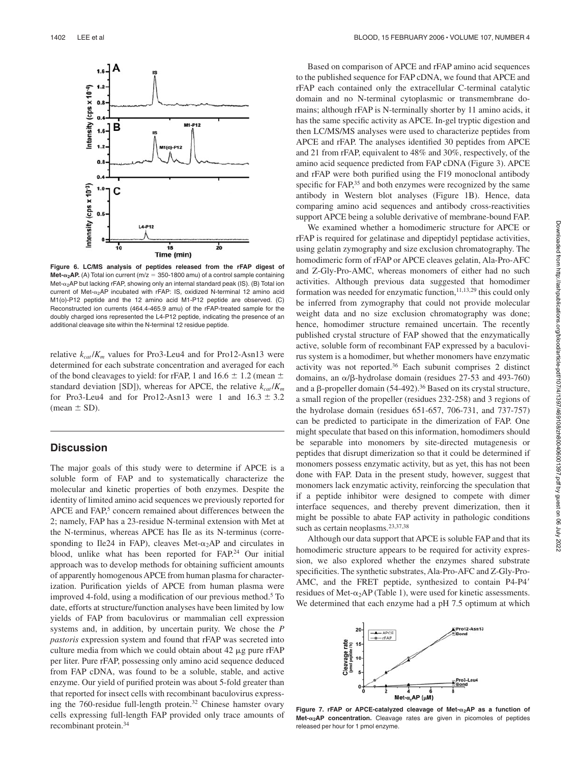

**Figure 6. LC/MS analysis of peptides released from the rFAP digest of**  $Met-<sub>α</sub>AP.$  (A) Total ion current (m/z = 350-1800 amu) of a control sample containing Met- $\alpha_2$ AP but lacking rFAP, showing only an internal standard peak (IS). (B) Total ion current of Met- $\alpha_2$ AP incubated with rFAP: IS, oxidized N-terminal 12 amino acid M1(o)-P12 peptide and the 12 amino acid M1-P12 peptide are observed. (C) Reconstructed ion currents (464.4-465.9 amu) of the rFAP-treated sample for the doubly charged ions represented the L4-P12 peptide, indicating the presence of an additional cleavage site within the N-terminal 12 residue peptide.

relative  $k_{cat}/K_m$  values for Pro3-Leu4 and for Pro12-Asn13 were determined for each substrate concentration and averaged for each of the bond cleavages to yield: for rFAP, 1 and 16.6  $\pm$  1.2 (mean  $\pm$ standard deviation [SD]), whereas for APCE, the relative  $k_{cat}/K_m$ for Pro3-Leu4 and for Pro12-Asn13 were 1 and  $16.3 \pm 3.2$ (mean  $\pm$  SD).

# **Discussion**

The major goals of this study were to determine if APCE is a soluble form of FAP and to systematically characterize the molecular and kinetic properties of both enzymes. Despite the identity of limited amino acid sequences we previously reported for APCE and FAP,<sup>5</sup> concern remained about differences between the 2; namely, FAP has a 23-residue N-terminal extension with Met at the N-terminus, whereas APCE has Ile as its N-terminus (corresponding to Ile24 in FAP), cleaves Met- $\alpha_2$ AP and circulates in blood, unlike what has been reported for FAP.<sup>24</sup> Our initial approach was to develop methods for obtaining sufficient amounts of apparently homogenous APCE from human plasma for characterization. Purification yields of APCE from human plasma were improved 4-fold, using a modification of our previous method.5 To date, efforts at structure/function analyses have been limited by low yields of FAP from baculovirus or mammalian cell expression systems and, in addition, by uncertain purity. We chose the *P pastoris* expression system and found that rFAP was secreted into culture media from which we could obtain about  $42 \mu g$  pure rFAP per liter. Pure rFAP, possessing only amino acid sequence deduced from FAP cDNA, was found to be a soluble, stable, and active enzyme. Our yield of purified protein was about 5-fold greater than that reported for insect cells with recombinant baculovirus expressing the 760-residue full-length protein.<sup>32</sup> Chinese hamster ovary cells expressing full-length FAP provided only trace amounts of recombinant protein.34

Based on comparison of APCE and rFAP amino acid sequences to the published sequence for FAP cDNA, we found that APCE and rFAP each contained only the extracellular C-terminal catalytic domain and no N-terminal cytoplasmic or transmembrane domains; although rFAP is N-terminally shorter by 11 amino acids, it has the same specific activity as APCE. In-gel tryptic digestion and then LC/MS/MS analyses were used to characterize peptides from APCE and rFAP. The analyses identified 30 peptides from APCE and 21 from rFAP, equivalent to 48% and 30%, respectively, of the amino acid sequence predicted from FAP cDNA (Figure 3). APCE and rFAP were both purified using the F19 monoclonal antibody specific for FAP,<sup>35</sup> and both enzymes were recognized by the same antibody in Western blot analyses (Figure 1B). Hence, data comparing amino acid sequences and antibody cross-reactivities support APCE being a soluble derivative of membrane-bound FAP.

We examined whether a homodimeric structure for APCE or rFAP is required for gelatinase and dipeptidyl peptidase activities, using gelatin zymography and size exclusion chromatography. The homodimeric form of rFAP or APCE cleaves gelatin, Ala-Pro-AFC and Z-Gly-Pro-AMC, whereas monomers of either had no such activities. Although previous data suggested that homodimer formation was needed for enzymatic function, $11,13,29$  this could only be inferred from zymography that could not provide molecular weight data and no size exclusion chromatography was done; hence, homodimer structure remained uncertain. The recently published crystal structure of FAP showed that the enzymatically active, soluble form of recombinant FAP expressed by a baculovirus system is a homodimer, but whether monomers have enzymatic activity was not reported.36 Each subunit comprises 2 distinct domains, an  $\alpha/\beta$ -hydrolase domain (residues 27-53 and 493-760) and a  $\beta$ -propeller domain (54-492).<sup>36</sup> Based on its crystal structure, a small region of the propeller (residues 232-258) and 3 regions of the hydrolase domain (residues 651-657, 706-731, and 737-757) can be predicted to participate in the dimerization of FAP. One might speculate that based on this information, homodimers should be separable into monomers by site-directed mutagenesis or peptides that disrupt dimerization so that it could be determined if monomers possess enzymatic activity, but as yet, this has not been done with FAP. Data in the present study, however, suggest that monomers lack enzymatic activity, reinforcing the speculation that if a peptide inhibitor were designed to compete with dimer interface sequences, and thereby prevent dimerization, then it might be possible to abate FAP activity in pathologic conditions such as certain neoplasms.<sup>23,37,38</sup>

Although our data support that APCE is soluble FAP and that its homodimeric structure appears to be required for activity expression, we also explored whether the enzymes shared substrate specificities. The synthetic substrates, Ala-Pro-AFC and Z-Gly-Pro-AMC, and the FRET peptide, synthesized to contain P4-P4 residues of Met- $\alpha_2$ AP (Table 1), were used for kinetic assessments. We determined that each enzyme had a pH 7.5 optimum at which



Figure 7. rFAP or APCE-catalyzed cleavage of Met- $\alpha_2$ AP as a function of **Met-α<sub>2</sub>AP concentration.** Cleavage rates are given in picomoles of peptides released per hour for 1 pmol enzyme.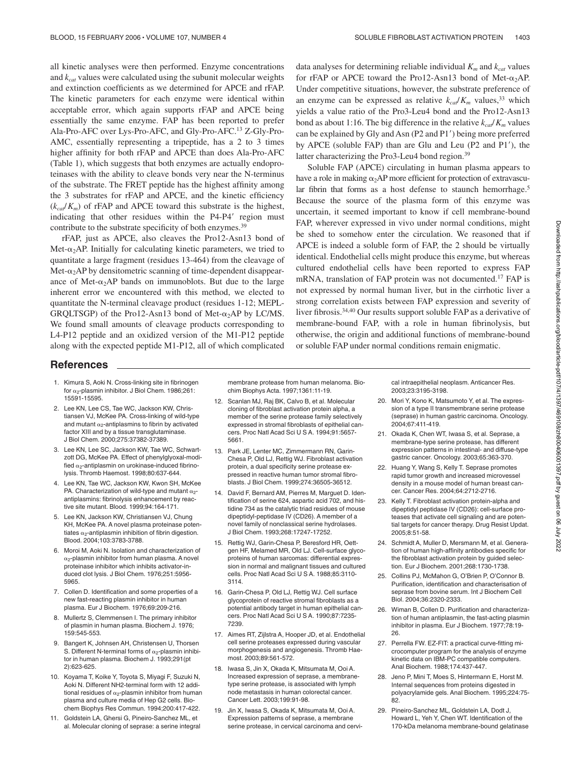all kinetic analyses were then performed. Enzyme concentrations and *kcat* values were calculated using the subunit molecular weights and extinction coefficients as we determined for APCE and rFAP. The kinetic parameters for each enzyme were identical within acceptable error, which again supports rFAP and APCE being essentially the same enzyme. FAP has been reported to prefer Ala-Pro-AFC over Lys-Pro-AFC, and Gly-Pro-AFC.13 Z-Gly-Pro-AMC, essentially representing a tripeptide, has a 2 to 3 times higher affinity for both rFAP and APCE than does Ala-Pro-AFC (Table 1), which suggests that both enzymes are actually endoproteinases with the ability to cleave bonds very near the N-terminus of the substrate. The FRET peptide has the highest affinity among the 3 substrates for rFAP and APCE, and the kinetic efficiency  $(k_{c,d}/K_m)$  of rFAP and APCE toward this substrate is the highest, indicating that other residues within the P4-P4' region must contribute to the substrate specificity of both enzymes.<sup>39</sup>

rFAP, just as APCE, also cleaves the Pro12-Asn13 bond of Met- $\alpha_2$ AP. Initially for calculating kinetic parameters, we tried to quantitate a large fragment (residues 13-464) from the cleavage of Met- $\alpha_2$ AP by densitometric scanning of time-dependent disappearance of Met- $\alpha_2$ AP bands on immunoblots. But due to the large inherent error we encountered with this method, we elected to quantitate the N-terminal cleavage product (residues 1-12; MEPL-GRQLTSGP) of the Pro12-Asn13 bond of Met- $\alpha_2$ AP by LC/MS. We found small amounts of cleavage products corresponding to L4-P12 peptide and an oxidized version of the M1-P12 peptide along with the expected peptide M1-P12, all of which complicated data analyses for determining reliable individual  $K<sub>m</sub>$  and  $k<sub>cat</sub>$  values for rFAP or APCE toward the Pro12-Asn13 bond of Met- $\alpha_2$ AP. Under competitive situations, however, the substrate preference of an enzyme can be expressed as relative  $k_{ca}/K_m$  values,<sup>33</sup> which yields a value ratio of the Pro3-Leu4 bond and the Pro12-Asn13 bond as about 1:16. The big difference in the relative  $k_{cat}/K_m$  values can be explained by Gly and Asn (P2 and P1) being more preferred by APCE (soluble FAP) than are Glu and Leu (P2 and P1), the latter characterizing the Pro3-Leu4 bond region.39

Soluble FAP (APCE) circulating in human plasma appears to have a role in making  $\alpha_2$ AP more efficient for protection of extravascular fibrin that forms as a host defense to staunch hemorrhage.<sup>5</sup> Because the source of the plasma form of this enzyme was uncertain, it seemed important to know if cell membrane-bound FAP, wherever expressed in vivo under normal conditions, might be shed to somehow enter the circulation. We reasoned that if APCE is indeed a soluble form of FAP, the 2 should be virtually identical. Endothelial cells might produce this enzyme, but whereas cultured endothelial cells have been reported to express FAP mRNA, translation of FAP protein was not documented.17 FAP is not expressed by normal human liver, but in the cirrhotic liver a strong correlation exists between FAP expression and severity of liver fibrosis.34,40 Our results support soluble FAP as a derivative of membrane-bound FAP, with a role in human fibrinolysis, but otherwise, the origin and additional functions of membrane-bound or soluble FAP under normal conditions remain enigmatic.

# **References**

- 1. Kimura S, Aoki N. Cross-linking site in fibrinogen for  $\alpha_2$ -plasmin inhibitor. J Biol Chem. 1986;261: 15591-15595.
- 2. Lee KN, Lee CS, Tae WC, Jackson KW, Christiansen VJ, McKee PA. Cross-linking of wild-type and mutant  $\alpha_2$ -antiplasmins to fibrin by activated factor XIII and by a tissue transglutaminase. J Biol Chem. 2000;275:37382-37389.
- 3. Lee KN, Lee SC, Jackson KW, Tae WC, Schwartzott DG, McKee PA. Effect of phenylglyoxal-modified  $\alpha_2$ -antiplasmin on urokinase-induced fibrinolysis. Thromb Haemost. 1998;80:637-644.
- 4. Lee KN, Tae WC, Jackson KW, Kwon SH, McKee PA. Characterization of wild-type and mutant  $\alpha_2$ antiplasmins: fibrinolysis enhancement by reactive site mutant. Blood. 1999;94:164-171.
- 5. Lee KN, Jackson KW, Christiansen VJ, Chung KH, McKee PA. A novel plasma proteinase potentiates  $\alpha$ -antiplasmin inhibition of fibrin digestion. Blood. 2004;103:3783-3788.
- 6. Moroi M, Aoki N. Isolation and characterization of  $\alpha$ -plasmin inhibitor from human plasma. A novel proteinase inhibitor which inhibits activator-induced clot lysis. J Biol Chem. 1976;251:5956- 5965.
- 7. Collen D. Identification and some properties of a new fast-reacting plasmin inhibitor in human plasma. Eur J Biochem. 1976;69:209-216.
- 8. Mullertz S, Clemmensen I. The primary inhibitor of plasmin in human plasma. Biochem J. 1976; 159:545-553.
- 9. Bangert K, Johnsen AH, Christensen U, Thorsen S. Different N-terminal forms of  $\alpha_2$ -plasmin inhibitor in human plasma. Biochem J. 1993;291(pt 2):623-625.
- 10. Koyama T, Koike Y, Toyota S, Miyagi F, Suzuki N, Aoki N. Different NH2-terminal form with 12 additional residues of  $\alpha_2$ -plasmin inhibitor from human plasma and culture media of Hep G2 cells. Biochem Biophys Res Commun. 1994;200:417-422.
- 11. Goldstein LA, Ghersi G, Pineiro-Sanchez ML, et al. Molecular cloning of seprase: a serine integral

membrane protease from human melanoma. Biochim Biophys Acta. 1997;1361:11-19.

- 12. Scanlan MJ, Raj BK, Calvo B, et al. Molecular cloning of fibroblast activation protein alpha, a member of the serine protease family selectively expressed in stromal fibroblasts of epithelial cancers. Proc Natl Acad Sci U S A. 1994;91:5657- 5661.
- 13. Park JE, Lenter MC, Zimmermann RN, Garin-Chesa P, Old LJ, Rettig WJ. Fibroblast activation protein, a dual specificity serine protease expressed in reactive human tumor stromal fibroblasts. J Biol Chem. 1999;274:36505-36512.
- 14. David F, Bernard AM, Pierres M, Marguet D. Identification of serine 624, aspartic acid 702, and histidine 734 as the catalytic triad residues of mouse dipeptidyl-peptidase IV (CD26). A member of a novel family of nonclassical serine hydrolases. J Biol Chem. 1993;268:17247-17252.
- 15. Rettig WJ, Garin-Chesa P, Beresford HR, Oettgen HF, Melamed MR, Old LJ. Cell-surface glycoproteins of human sarcomas: differential expression in normal and malignant tissues and cultured cells. Proc Natl Acad Sci U S A. 1988;85:3110- 3114.
- 16. Garin-Chesa P, Old LJ, Rettig WJ. Cell surface glycoprotein of reactive stromal fibroblasts as a potential antibody target in human epithelial cancers. Proc Natl Acad Sci U S A. 1990;87:7235- 7239.
- 17. Aimes RT, Zijlstra A, Hooper JD, et al. Endothelial cell serine proteases expressed during vascular morphogenesis and angiogenesis. Thromb Haemost. 2003;89:561-572.
- 18. Iwasa S, Jin X, Okada K, Mitsumata M, Ooi A. Increased expression of seprase, a membranetype serine protease, is associated with lymph node metastasis in human colorectal cancer. Cancer Lett. 2003;199:91-98.
- 19. Jin X, Iwasa S, Okada K, Mitsumata M, Ooi A. Expression patterns of seprase, a membrane serine protease, in cervical carcinoma and cervi-

cal intraepithelial neoplasm. Anticancer Res. 2003;23:3195-3198.

- 20. Mori Y, Kono K, Matsumoto Y, et al. The expression of a type II transmembrane serine protease (seprase) in human gastric carcinoma. Oncology. 2004;67:411-419.
- 21. Okada K, Chen WT, Iwasa S, et al. Seprase, a membrane-type serine protease, has different expression patterns in intestinal- and diffuse-type gastric cancer. Oncology. 2003;65:363-370.
- 22. Huang Y, Wang S, Kelly T. Seprase promotes rapid tumor growth and increased microvessel density in a mouse model of human breast cancer. Cancer Res. 2004;64:2712-2716.
- 23. Kelly T. Fibroblast activation protein-alpha and dipeptidyl peptidase IV (CD26): cell-surface proteases that activate cell signaling and are potential targets for cancer therapy. Drug Resist Updat. 2005;8:51-58.
- 24. Schmidt A, Muller D, Mersmann M, et al. Generation of human high-affinity antibodies specific for the fibroblast activation protein by guided selection. Eur J Biochem. 2001;268:1730-1738.
- 25. Collins PJ, McMahon G, O'Brien P, O'Connor B. Purification, identification and characterisation of seprase from bovine serum. Int J Biochem Cell Biol. 2004;36:2320-2333.
- 26. Wiman B, Collen D. Purification and characterization of human antiplasmin, the fast-acting plasmin inhibitor in plasma. Eur J Biochem. 1977;78:19- 26.
- 27. Perrella FW. EZ-FIT: a practical curve-fitting microcomputer program for the analysis of enzyme kinetic data on IBM-PC compatible computers. Anal Biochem. 1988;174:437-447.
- Jeno P, Mini T, Moes S, Hintermann E, Horst M. Internal sequences from proteins digested in polyacrylamide gels. Anal Biochem. 1995;224:75- 82.
- 29. Pineiro-Sanchez ML, Goldstein LA, Dodt J, Howard L, Yeh Y, Chen WT. Identification of the 170-kDa melanoma membrane-bound gelatinase